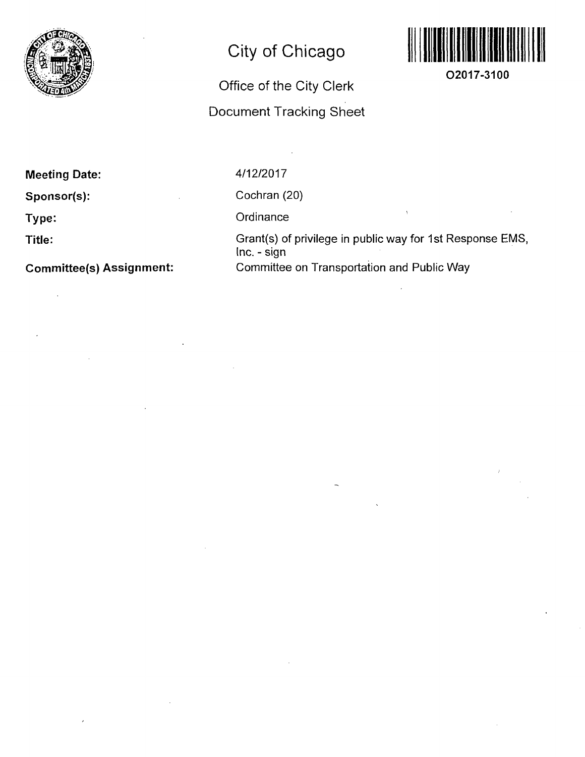

## **City of Chicago**

## Office of the City Clerk Document Tracking Sheet



**02017-3100** 

**Meeting Date:** 

**Sponsor(s):** 

**Type:** 

**Title:** 

**Committee(s) Assignment:** 

4/12/2017

Cochran (20)

**Ordinance** 

Grant(s) of privilege in public way for 1st Response EMS, Inc. - sign Committee on Transportation and Public Way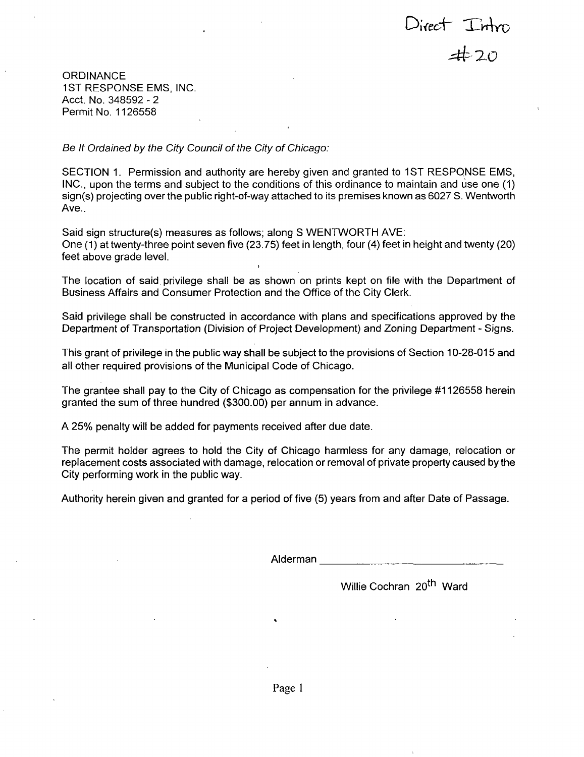Direct Intro<br>**a**#20

**ORDINANCE** 1ST RESPONSE EMS, INC. Acct. No. 348592 - 2 Permit No. 1126558

Be It Ordained by the City Council of the City of Chicago:

SECTION 1. Permission and authority are hereby given and granted to 1ST RESPONSE EMS, INC., upon the terms and subject to the conditions of this ordinance to maintain and use one (1) sign(s) projecting overthe public right-of-way attached to its premises known as 6027 S. Wentworth Ave..

Said sign structure(s) measures as follows; along S WENTWORTH AVE: One (1) at twenty-three point seven five (23.75) feet in length, four (4) feet in height and twenty (20) feet above grade level.

The location of said privilege shall be as shown on prints kept on file with the Department of Business Affairs and Consumer Protection and the Office of the City Clerk.

Said privilege shall be constructed in accordance with plans and specifications approved by the Department of Transportation (Division of Project Development) and Zoning Department - Signs.

This grant of privilege in the public way shall be subject to the provisions of Section 10-28-015 and all other required provisions of the Municipal Code of Chicago.

The grantee shall pay to the City of Chicago as compensation for the privilege #1126558 herein granted the sum of three hundred (\$300.00) per annum in advance.

A 25% penalty will be added for payments received after due date.

The permit holder agrees to hold the City of Chicago harmless for any damage, relocation or replacement costs associated with damage, relocation or removal of private property caused bythe City performing work in the public way.

Authority herein given and granted for a period offive (5) years from and after Date of Passage.

Alderman

Willie Cochran 20<sup>th</sup> Ward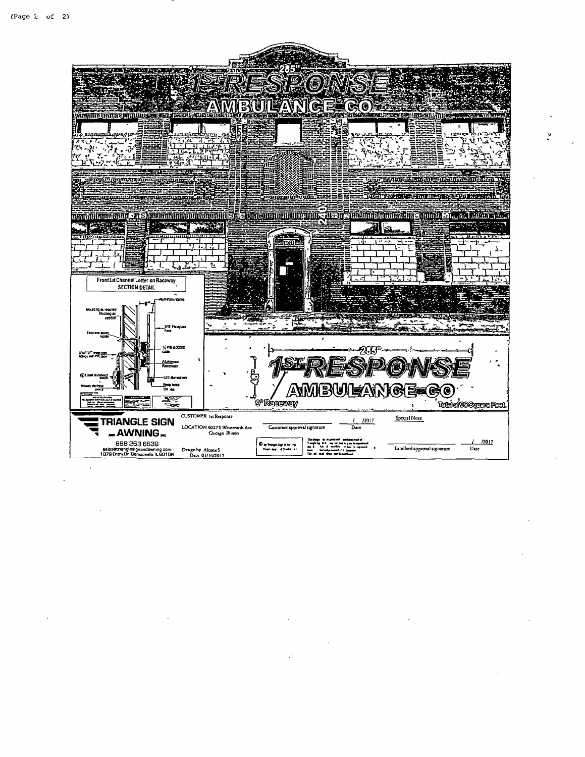